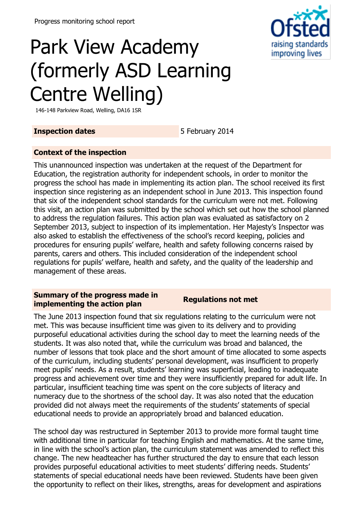

# Park View Academy (formerly ASD Learning Centre Welling)

146-148 Parkview Road, Welling, DA16 1SR

## **Inspection dates** 5 February 2014

## **Context of the inspection**

This unannounced inspection was undertaken at the request of the Department for Education, the registration authority for independent schools, in order to monitor the progress the school has made in implementing its action plan. The school received its first inspection since registering as an independent school in June 2013. This inspection found that six of the independent school standards for the curriculum were not met. Following this visit, an action plan was submitted by the school which set out how the school planned to address the regulation failures. This action plan was evaluated as satisfactory on 2 September 2013, subject to inspection of its implementation. Her Majesty's Inspector was also asked to establish the effectiveness of the school's record keeping, policies and procedures for ensuring pupils' welfare, health and safety following concerns raised by parents, carers and others. This included consideration of the independent school regulations for pupils' welfare, health and safety, and the quality of the leadership and management of these areas.

### **Summary of the progress made in implementing the action plan Regulations not met**

The June 2013 inspection found that six regulations relating to the curriculum were not met. This was because insufficient time was given to its delivery and to providing purposeful educational activities during the school day to meet the learning needs of the students. It was also noted that, while the curriculum was broad and balanced, the number of lessons that took place and the short amount of time allocated to some aspects of the curriculum, including students' personal development, was insufficient to properly meet pupils' needs. As a result, students' learning was superficial, leading to inadequate progress and achievement over time and they were insufficiently prepared for adult life. In particular, insufficient teaching time was spent on the core subjects of literacy and numeracy due to the shortness of the school day. It was also noted that the education provided did not always meet the requirements of the students' statements of special educational needs to provide an appropriately broad and balanced education.

The school day was restructured in September 2013 to provide more formal taught time with additional time in particular for teaching English and mathematics. At the same time, in line with the school's action plan, the curriculum statement was amended to reflect this change. The new headteacher has further structured the day to ensure that each lesson provides purposeful educational activities to meet students' differing needs. Students' statements of special educational needs have been reviewed. Students have been given the opportunity to reflect on their likes, strengths, areas for development and aspirations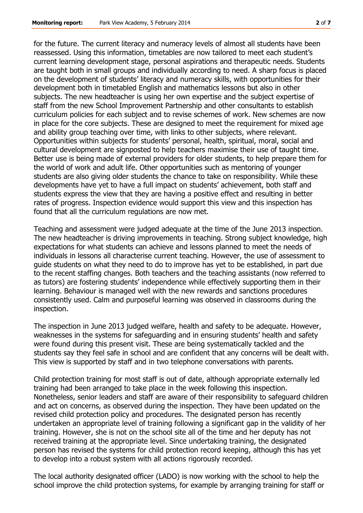for the future. The current literacy and numeracy levels of almost all students have been reassessed. Using this information, timetables are now tailored to meet each student's current learning development stage, personal aspirations and therapeutic needs. Students are taught both in small groups and individually according to need. A sharp focus is placed on the development of students' literacy and numeracy skills, with opportunities for their development both in timetabled English and mathematics lessons but also in other subjects. The new headteacher is using her own expertise and the subject expertise of staff from the new School Improvement Partnership and other consultants to establish curriculum policies for each subject and to revise schemes of work. New schemes are now in place for the core subjects. These are designed to meet the requirement for mixed age and ability group teaching over time, with links to other subjects, where relevant. Opportunities within subjects for students' personal, health, spiritual, moral, social and cultural development are signposted to help teachers maximise their use of taught time. Better use is being made of external providers for older students, to help prepare them for the world of work and adult life. Other opportunities such as mentoring of younger students are also giving older students the chance to take on responsibility. While these developments have yet to have a full impact on students' achievement, both staff and students express the view that they are having a positive effect and resulting in better rates of progress. Inspection evidence would support this view and this inspection has found that all the curriculum regulations are now met.

Teaching and assessment were judged adequate at the time of the June 2013 inspection. The new headteacher is driving improvements in teaching. Strong subject knowledge, high expectations for what students can achieve and lessons planned to meet the needs of individuals in lessons all characterise current teaching. However, the use of assessment to guide students on what they need to do to improve has yet to be established, in part due to the recent staffing changes. Both teachers and the teaching assistants (now referred to as tutors) are fostering students' independence while effectively supporting them in their learning. Behaviour is managed well with the new rewards and sanctions procedures consistently used. Calm and purposeful learning was observed in classrooms during the inspection.

The inspection in June 2013 judged welfare, health and safety to be adequate. However, weaknesses in the systems for safeguarding and in ensuring students' health and safety were found during this present visit. These are being systematically tackled and the students say they feel safe in school and are confident that any concerns will be dealt with. This view is supported by staff and in two telephone conversations with parents.

Child protection training for most staff is out of date, although appropriate externally led training had been arranged to take place in the week following this inspection. Nonetheless, senior leaders and staff are aware of their responsibility to safeguard children and act on concerns, as observed during the inspection. They have been updated on the revised child protection policy and procedures. The designated person has recently undertaken an appropriate level of training following a significant gap in the validity of her training. However, she is not on the school site all of the time and her deputy has not received training at the appropriate level. Since undertaking training, the designated person has revised the systems for child protection record keeping, although this has yet to develop into a robust system with all actions rigorously recorded.

The local authority designated officer (LADO) is now working with the school to help the school improve the child protection systems, for example by arranging training for staff or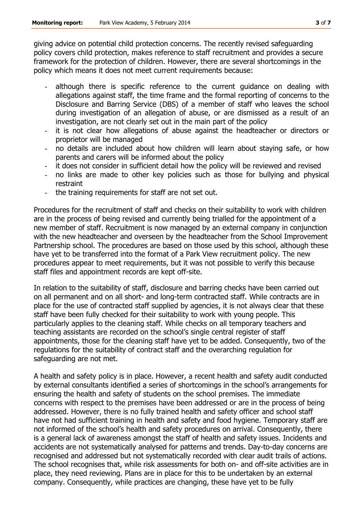giving advice on potential child protection concerns. The recently revised safeguarding policy covers child protection, makes reference to staff recruitment and provides a secure framework for the protection of children. However, there are several shortcomings in the policy which means it does not meet current requirements because:

- although there is specific reference to the current guidance on dealing with allegations against staff, the time frame and the formal reporting of concerns to the Disclosure and Barring Service (DBS) of a member of staff who leaves the school during investigation of an allegation of abuse, or are dismissed as a result of an investigation, are not clearly set out in the main part of the policy
- it is not clear how allegations of abuse against the headteacher or directors or proprietor will be managed
- no details are included about how children will learn about staying safe, or how parents and carers will be informed about the policy
- it does not consider in sufficient detail how the policy will be reviewed and revised
- no links are made to other key policies such as those for bullying and physical restraint
- the training requirements for staff are not set out.

Procedures for the recruitment of staff and checks on their suitability to work with children are in the process of being revised and currently being trialled for the appointment of a new member of staff. Recruitment is now managed by an external company in conjunction with the new headteacher and overseen by the headteacher from the School Improvement Partnership school. The procedures are based on those used by this school, although these have yet to be transferred into the format of a Park View recruitment policy. The new procedures appear to meet requirements, but it was not possible to verify this because staff files and appointment records are kept off-site.

In relation to the suitability of staff, disclosure and barring checks have been carried out on all permanent and on all short- and long-term contracted staff. While contracts are in place for the use of contracted staff supplied by agencies, it is not always clear that these staff have been fully checked for their suitability to work with young people. This particularly applies to the cleaning staff. While checks on all temporary teachers and teaching assistants are recorded on the school's single central register of staff appointments, those for the cleaning staff have yet to be added. Consequently, two of the regulations for the suitability of contract staff and the overarching regulation for safeguarding are not met.

A health and safety policy is in place. However, a recent health and safety audit conducted by external consultants identified a series of shortcomings in the school's arrangements for ensuring the health and safety of students on the school premises. The immediate concerns with respect to the premises have been addressed or are in the process of being addressed. However, there is no fully trained health and safety officer and school staff have not had sufficient training in health and safety and food hygiene. Temporary staff are not informed of the school's health and safety procedures on arrival. Consequently, there is a general lack of awareness amongst the staff of health and safety issues. Incidents and accidents are not systematically analysed for patterns and trends. Day-to-day concerns are recognised and addressed but not systematically recorded with clear audit trails of actions. The school recognises that, while risk assessments for both on- and off-site activities are in place, they need reviewing. Plans are in place for this to be undertaken by an external company. Consequently, while practices are changing, these have yet to be fully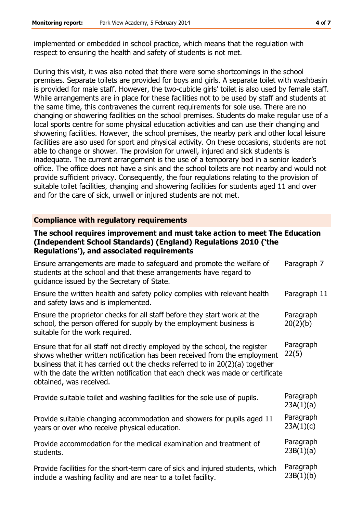implemented or embedded in school practice, which means that the regulation with respect to ensuring the health and safety of students is not met.

During this visit, it was also noted that there were some shortcomings in the school premises. Separate toilets are provided for boys and girls. A separate toilet with washbasin is provided for male staff. However, the two-cubicle girls' toilet is also used by female staff. While arrangements are in place for these facilities not to be used by staff and students at the same time, this contravenes the current requirements for sole use. There are no changing or showering facilities on the school premises. Students do make regular use of a local sports centre for some physical education activities and can use their changing and showering facilities. However, the school premises, the nearby park and other local leisure facilities are also used for sport and physical activity. On these occasions, students are not able to change or shower. The provision for unwell, injured and sick students is inadequate. The current arrangement is the use of a temporary bed in a senior leader's office. The office does not have a sink and the school toilets are not nearby and would not provide sufficient privacy. Consequently, the four regulations relating to the provision of suitable toilet facilities, changing and showering facilities for students aged 11 and over and for the care of sick, unwell or injured students are not met.

#### **Compliance with regulatory requirements**

#### **The school requires improvement and must take action to meet The Education (Independent School Standards) (England) Regulations 2010 ('the Regulations'), and associated requirements**

| Ensure arrangements are made to safeguard and promote the welfare of<br>students at the school and that these arrangements have regard to<br>guidance issued by the Secretary of State.                                                                                                                                                              | Paragraph 7            |
|------------------------------------------------------------------------------------------------------------------------------------------------------------------------------------------------------------------------------------------------------------------------------------------------------------------------------------------------------|------------------------|
| Ensure the written health and safety policy complies with relevant health<br>and safety laws and is implemented.                                                                                                                                                                                                                                     | Paragraph 11           |
| Ensure the proprietor checks for all staff before they start work at the<br>school, the person offered for supply by the employment business is<br>suitable for the work required.                                                                                                                                                                   | Paragraph<br>20(2)(b)  |
| Ensure that for all staff not directly employed by the school, the register<br>shows whether written notification has been received from the employment<br>business that it has carried out the checks referred to in 20(2)(a) together<br>with the date the written notification that each check was made or certificate<br>obtained, was received. | Paragraph<br>22(5)     |
| Provide suitable toilet and washing facilities for the sole use of pupils.                                                                                                                                                                                                                                                                           | Paragraph<br>23A(1)(a) |
| Provide suitable changing accommodation and showers for pupils aged 11<br>years or over who receive physical education.                                                                                                                                                                                                                              | Paragraph<br>23A(1)(c) |
| Provide accommodation for the medical examination and treatment of<br>students.                                                                                                                                                                                                                                                                      | Paragraph<br>23B(1)(a) |
| Provide facilities for the short-term care of sick and injured students, which<br>include a washing facility and are near to a toilet facility.                                                                                                                                                                                                      | Paragraph<br>23B(1)(b) |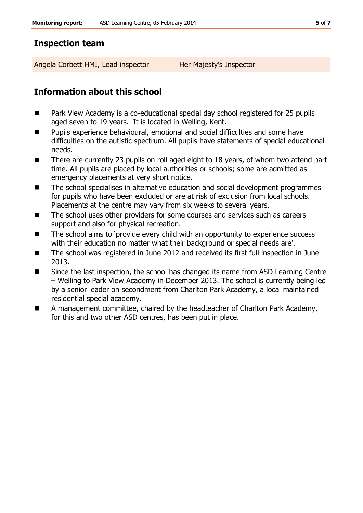## **Inspection team**

Angela Corbett HMI, Lead inspector Her Majesty's Inspector

# **Information about this school**

- Park View Academy is a co-educational special day school registered for 25 pupils aged seven to 19 years. It is located in Welling, Kent.
- Pupils experience behavioural, emotional and social difficulties and some have difficulties on the autistic spectrum. All pupils have statements of special educational needs.
- There are currently 23 pupils on roll aged eight to 18 years, of whom two attend part time. All pupils are placed by local authorities or schools; some are admitted as emergency placements at very short notice.
- The school specialises in alternative education and social development programmes for pupils who have been excluded or are at risk of exclusion from local schools. Placements at the centre may vary from six weeks to several years.
- The school uses other providers for some courses and services such as careers support and also for physical recreation.
- The school aims to 'provide every child with an opportunity to experience success with their education no matter what their background or special needs are'.
- The school was registered in June 2012 and received its first full inspection in June 2013.
- Since the last inspection, the school has changed its name from ASD Learning Centre – Welling to Park View Academy in December 2013. The school is currently being led by a senior leader on secondment from Charlton Park Academy, a local maintained residential special academy.
- A management committee, chaired by the headteacher of Charlton Park Academy, for this and two other ASD centres, has been put in place.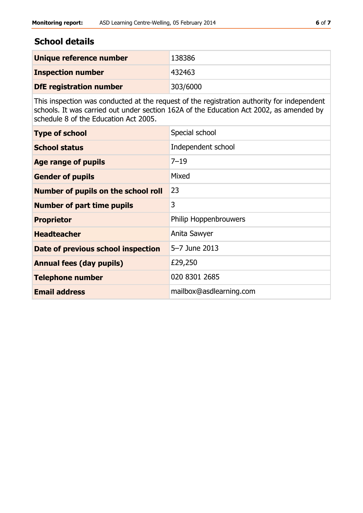# **School details**

| Unique reference number        | 138386   |
|--------------------------------|----------|
| <b>Inspection number</b>       | 432463   |
| <b>DfE</b> registration number | 303/6000 |

This inspection was conducted at the request of the registration authority for independent schools. It was carried out under section 162A of the Education Act 2002, as amended by schedule 8 of the Education Act 2005.

| <b>Type of school</b>               | Special school          |
|-------------------------------------|-------------------------|
| <b>School status</b>                | Independent school      |
| <b>Age range of pupils</b>          | $7 - 19$                |
| <b>Gender of pupils</b>             | Mixed                   |
| Number of pupils on the school roll | 23                      |
| <b>Number of part time pupils</b>   | 3                       |
| <b>Proprietor</b>                   | Philip Hoppenbrouwers   |
| <b>Headteacher</b>                  | Anita Sawyer            |
| Date of previous school inspection  | 5-7 June 2013           |
| <b>Annual fees (day pupils)</b>     | £29,250                 |
| <b>Telephone number</b>             | 020 8301 2685           |
| <b>Email address</b>                | mailbox@asdlearning.com |